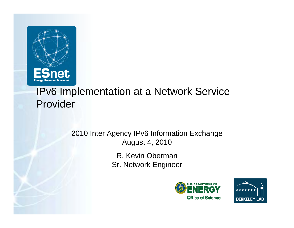

# IPv6 Implementation at a Network Service Provider

#### 2010 Inter Agency IPv6 Information Exchange August 4, 2010

R. Kevin Oberman Sr. Network Engineer



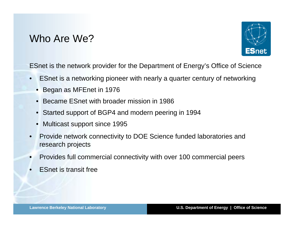## Who Are We?



ESnet is the network provider for the Department of Energy's Office of Science

- $\bullet$  ESnet is a networking pioneer with nearly a quarter century of networking
	- Began as MFEnet in 1976
	- Became ESnet with broader mission in 1986
	- Started support of BGP4 and modern peering in 1994
	- $\bullet$ Multicast support since 1995
- • Provide network connectivity to DOE Science funded laboratories and research projects
- •Provides full commercial connectivity with over 100 commercial peers
- •ESnet is transit free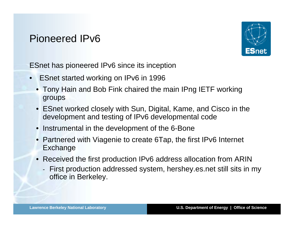# Pioneered IPv6



ESnet has pioneered IPv6 since its inception

- $\bullet$  ESnet started working on IPv6 in 1996
	- Tony Hain and Bob Fink chaired the main IPng IETF working groups
	- ESnet worked closely with Sun, Digital, Kame, and Cisco in the development and testing of IPv6 developmental code
	- Instrumental in the development of the 6-Bone
	- Partnered with Viagenie to create 6Tap, the first IPv6 Internet Exchange
	- Received the first production IPv6 address allocation from ARIN
		- First production addressed system, hershey.es.net still sits in my office in Berkeley.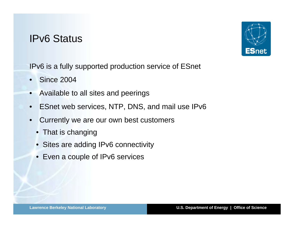# IPv6 Status



IPv6 is a fully supported production service of ESnet

- •Since 2004
- •Available to all sites and peerings
- $\bullet$ ESnet web services, NTP, DNS, and mail use IPv6
- • Currently we are our own best customers
	- That is changing
	- Sites are adding IPv6 connectivity
	- Even <sup>a</sup> couple of IPv6 services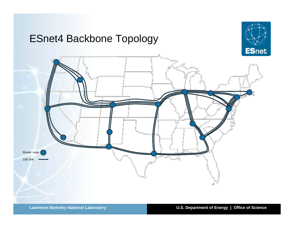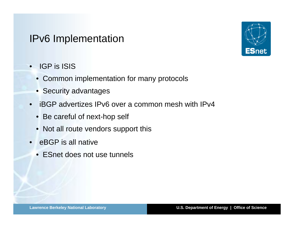## **IPv6** Implementation



- • IGP is ISIS
	- Common implementation for many protocols
	- Security advantages
- $\bullet$  iBGP advertizes IPv6 over a common mesh with IPv4
	- Be careful of next-hop self
	- Not all route vendors support this
- $\bullet$  eBGP is all native
	- ESnet does not use tunnels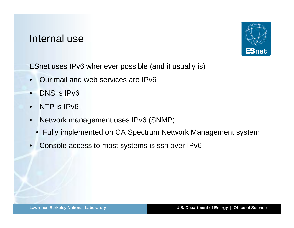#### Internal use



ESnet uses IPv6 whenever possible (and it usually is)

- •Our mail and web services are IPv6
- •DNS is IPv6
- •NTP is IPv6
- • Network management uses IPv6 (SNMP)
	- Fully implemented on CA Spectrum Network Management system
- •Console access to most systems is ssh over IPv6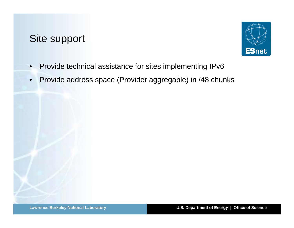# Site support



- •Provide technical assistance for sites implementing IPv6
- $\bullet$ Provide address space (Provider aggregable) in /48 chunks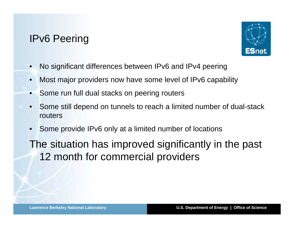# **IPv6 Peering**



- •No significant differences between IPv6 and IPv4 peering
- •Most major providers now have some level of IPv6 capability
- •Some run full dual stacks on peering routers
- • Some still depend on tunnels to reach a limited number of dual-stack routers
- •Some provide IPv6 only at <sup>a</sup> limited number of locations

The situation has improved significantly in the past 12 month for commercial providers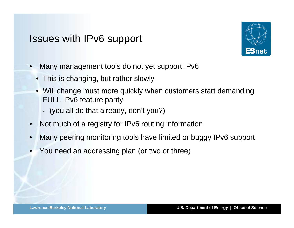# Issues with IPv6 support



- • Many management tools do not yet support IPv6
	- This is changing, but rather slowly
	- Will change must more quickly when customers start demanding FULL IPv6 feature parity
		- (you all do that already, don't you?)
- $\bullet$ Not much of a registry for IPv6 routing information
- •Many peering monitoring tools have limited or buggy IPv6 support
- •You need an addressing plan (or two or three)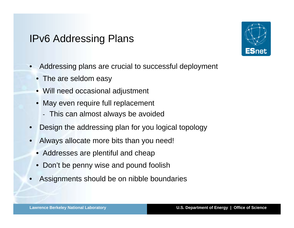## **IPv6 Addressing Plans**



- • Addressing plans are crucial to successful deployment
	- The are seldom easy
	- Will need occasional adjustment
	- May even require full replacement
		- This can almost always be avoided
- •Design the addressing plan for you logical topology
- • Always allocate more bits than you need!
	- $\bullet\,$  Addresses are plentiful and cheap
	- Don't be penny wise and pound foolish
- •Assignments should be on nibble boundaries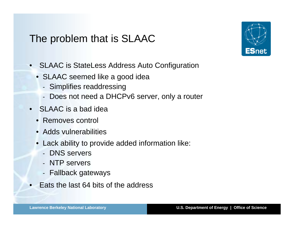# The problem that is SLAAC



- SLAAC is StateLess Address Auto Configuration
	- SLAAC seemed like a good idea
		- Simplifies readdressing
		- Does not need a DHCPv6 server, only a router
- SLAAC is a bad idea
	- Removes control
	- Adds vulnerabilities
	- Lack ability to provide added information like:
		- DNS servers
		- NTP servers
		- Fallback gateways
- •Eats the last 64 bits of the address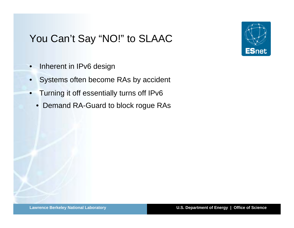# You Can't Say "NO!" to SLAAC

- •Inherent in IPv6 design
- •Systems often become RAs by accident
- • Turning it off essentially turns off IPv6
	- Demand RA-Guard to block rogue RAs

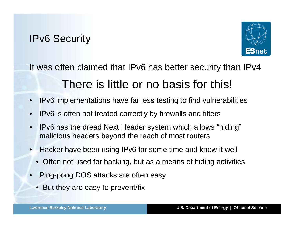# **IPv6 Security**



# It was often claimed that IPv6 has better security than IPv4 There is little or no basis for this!

- •IPv6 implementations have far less testing to find vulnerabilities
- •IPv6 is often not treated correctly by firewalls and filters
- •IPv6 has the dread Next Header system which allows "hiding" malicious headers beyond the reach of most routers
- • Hacker have been using IPv6 for some time and know it well
	- Often not used for hacking, but as a means of hiding activities
- • Ping-pong DOS attacks are often easy
	- $\bullet\,$  But they are easy to prevent/fix